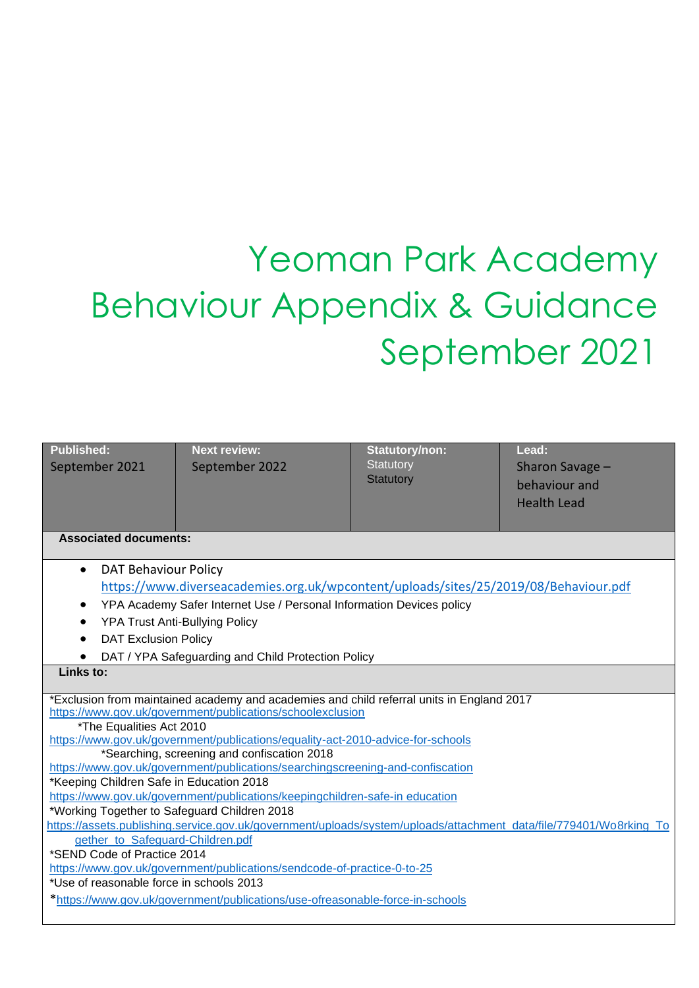# Yeoman Park Academy Behaviour Appendix & Guidance September 2021

| <b>Published:</b><br>September 2021                                                                                              | <b>Next review:</b><br>September 2022                                                                                                                   | <b>Statutory/non:</b><br>Statutory<br>Statutory | Lead:<br>Sharon Savage -<br>behaviour and<br><b>Health Lead</b> |  |  |
|----------------------------------------------------------------------------------------------------------------------------------|---------------------------------------------------------------------------------------------------------------------------------------------------------|-------------------------------------------------|-----------------------------------------------------------------|--|--|
|                                                                                                                                  |                                                                                                                                                         |                                                 |                                                                 |  |  |
| <b>Associated documents:</b>                                                                                                     |                                                                                                                                                         |                                                 |                                                                 |  |  |
| <b>DAT Behaviour Policy</b><br>$\bullet$<br>https://www.diverseacademies.org.uk/wpcontent/uploads/sites/25/2019/08/Behaviour.pdf |                                                                                                                                                         |                                                 |                                                                 |  |  |
| YPA Academy Safer Internet Use / Personal Information Devices policy<br>$\bullet$                                                |                                                                                                                                                         |                                                 |                                                                 |  |  |
| <b>YPA Trust Anti-Bullying Policy</b>                                                                                            |                                                                                                                                                         |                                                 |                                                                 |  |  |
| <b>DAT Exclusion Policy</b>                                                                                                      |                                                                                                                                                         |                                                 |                                                                 |  |  |
| DAT / YPA Safeguarding and Child Protection Policy<br>Links to:                                                                  |                                                                                                                                                         |                                                 |                                                                 |  |  |
|                                                                                                                                  |                                                                                                                                                         |                                                 |                                                                 |  |  |
|                                                                                                                                  | *Exclusion from maintained academy and academies and child referral units in England 2017<br>https://www.gov.uk/government/publications/schoolexclusion |                                                 |                                                                 |  |  |
| *The Equalities Act 2010                                                                                                         |                                                                                                                                                         |                                                 |                                                                 |  |  |
|                                                                                                                                  | https://www.gov.uk/government/publications/equality-act-2010-advice-for-schools                                                                         |                                                 |                                                                 |  |  |
| *Searching, screening and confiscation 2018                                                                                      |                                                                                                                                                         |                                                 |                                                                 |  |  |
| https://www.gov.uk/government/publications/searchingscreening-and-confiscation                                                   |                                                                                                                                                         |                                                 |                                                                 |  |  |
| *Keeping Children Safe in Education 2018                                                                                         |                                                                                                                                                         |                                                 |                                                                 |  |  |
| https://www.gov.uk/government/publications/keepingchildren-safe-in education                                                     |                                                                                                                                                         |                                                 |                                                                 |  |  |
| *Working Together to Safeguard Children 2018                                                                                     |                                                                                                                                                         |                                                 |                                                                 |  |  |
| https://assets.publishing.service.gov.uk/government/uploads/system/uploads/attachment_data/file/779401/Wo8rking_To               |                                                                                                                                                         |                                                 |                                                                 |  |  |
| gether_to_Safeguard-Children.pdf<br>*SEND Code of Practice 2014                                                                  |                                                                                                                                                         |                                                 |                                                                 |  |  |
| https://www.gov.uk/government/publications/sendcode-of-practice-0-to-25                                                          |                                                                                                                                                         |                                                 |                                                                 |  |  |
| *Use of reasonable force in schools 2013                                                                                         |                                                                                                                                                         |                                                 |                                                                 |  |  |
| *https://www.gov.uk/government/publications/use-ofreasonable-force-in-schools                                                    |                                                                                                                                                         |                                                 |                                                                 |  |  |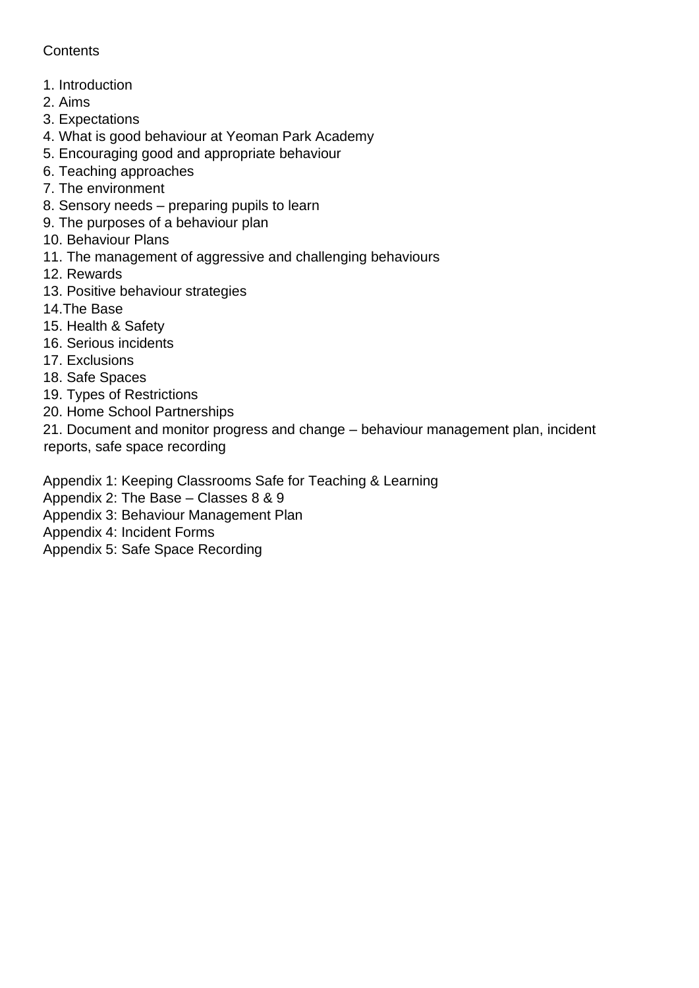## **Contents**

- 1. Introduction
- 2. Aims
- 3. Expectations
- 4. What is good behaviour at Yeoman Park Academy
- 5. Encouraging good and appropriate behaviour
- 6. Teaching approaches
- 7. The environment
- 8. Sensory needs preparing pupils to learn
- 9. The purposes of a behaviour plan
- 10. Behaviour Plans
- 11. The management of aggressive and challenging behaviours
- 12. Rewards
- 13. Positive behaviour strategies
- 14.The Base
- 15. Health & Safety
- 16. Serious incidents
- 17. Exclusions
- 18. Safe Spaces
- 19. Types of Restrictions
- 20. Home School Partnerships

21. Document and monitor progress and change – behaviour management plan, incident reports, safe space recording

Appendix 1: Keeping Classrooms Safe for Teaching & Learning

Appendix 2: The Base – Classes 8 & 9

- Appendix 3: Behaviour Management Plan
- Appendix 4: Incident Forms

Appendix 5: Safe Space Recording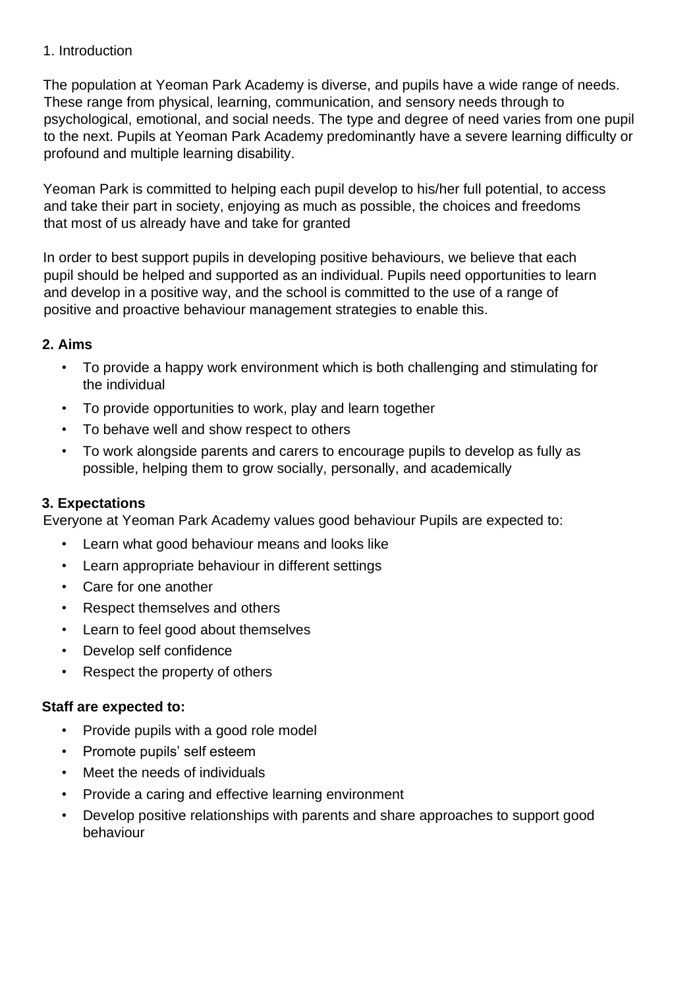#### 1. Introduction

The population at Yeoman Park Academy is diverse, and pupils have a wide range of needs. These range from physical, learning, communication, and sensory needs through to psychological, emotional, and social needs. The type and degree of need varies from one pupil to the next. Pupils at Yeoman Park Academy predominantly have a severe learning difficulty or profound and multiple learning disability.

Yeoman Park is committed to helping each pupil develop to his/her full potential, to access and take their part in society, enjoying as much as possible, the choices and freedoms that most of us already have and take for granted

In order to best support pupils in developing positive behaviours, we believe that each pupil should be helped and supported as an individual. Pupils need opportunities to learn and develop in a positive way, and the school is committed to the use of a range of positive and proactive behaviour management strategies to enable this.

## **2. Aims**

- To provide a happy work environment which is both challenging and stimulating for the individual
- To provide opportunities to work, play and learn together
- To behave well and show respect to others
- To work alongside parents and carers to encourage pupils to develop as fully as possible, helping them to grow socially, personally, and academically

## **3. Expectations**

Everyone at Yeoman Park Academy values good behaviour Pupils are expected to:

- Learn what good behaviour means and looks like
- Learn appropriate behaviour in different settings
- Care for one another
- Respect themselves and others
- Learn to feel good about themselves
- Develop self confidence
- Respect the property of others

#### **Staff are expected to:**

- Provide pupils with a good role model
- Promote pupils' self esteem
- Meet the needs of individuals
- Provide a caring and effective learning environment
- Develop positive relationships with parents and share approaches to support good behaviour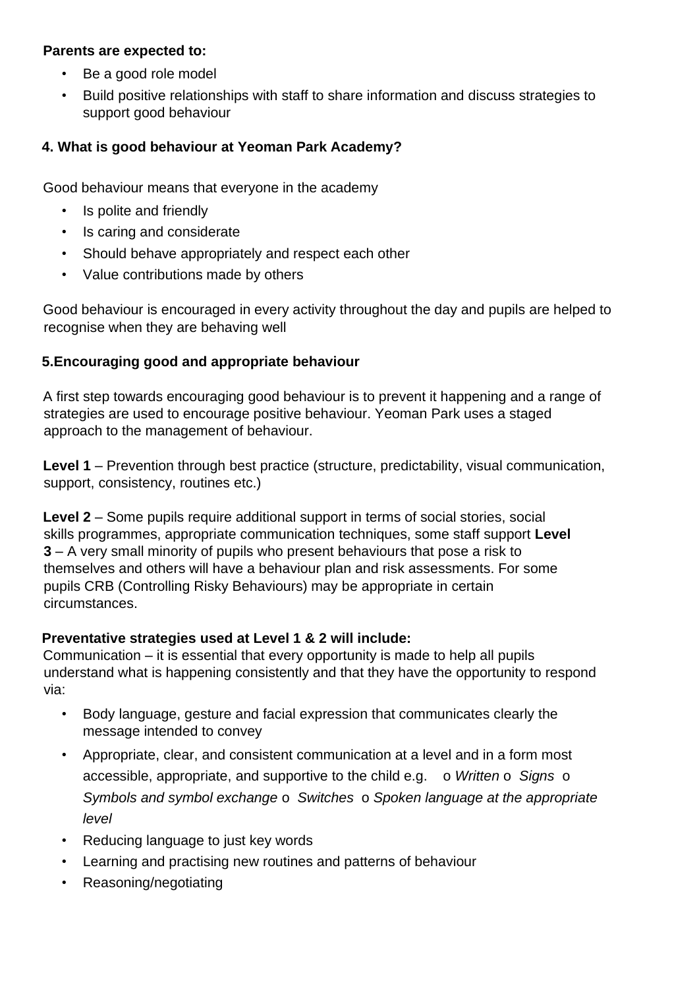#### **Parents are expected to:**

- Be a good role model
- Build positive relationships with staff to share information and discuss strategies to support good behaviour

## **4. What is good behaviour at Yeoman Park Academy?**

Good behaviour means that everyone in the academy

- Is polite and friendly
- Is caring and considerate
- Should behave appropriately and respect each other
- Value contributions made by others

Good behaviour is encouraged in every activity throughout the day and pupils are helped to recognise when they are behaving well

## **5.Encouraging good and appropriate behaviour**

A first step towards encouraging good behaviour is to prevent it happening and a range of strategies are used to encourage positive behaviour. Yeoman Park uses a staged approach to the management of behaviour.

**Level 1** – Prevention through best practice (structure, predictability, visual communication, support, consistency, routines etc.)

**Level 2** – Some pupils require additional support in terms of social stories, social skills programmes, appropriate communication techniques, some staff support **Level 3** – A very small minority of pupils who present behaviours that pose a risk to themselves and others will have a behaviour plan and risk assessments. For some pupils CRB (Controlling Risky Behaviours) may be appropriate in certain circumstances.

## **Preventative strategies used at Level 1 & 2 will include:**

Communication – it is essential that every opportunity is made to help all pupils understand what is happening consistently and that they have the opportunity to respond via:

- Body language, gesture and facial expression that communicates clearly the message intended to convey
- Appropriate, clear, and consistent communication at a level and in a form most accessible, appropriate, and supportive to the child e.g. o *Written* o *Signs* o *Symbols and symbol exchange* o *Switches* o *Spoken language at the appropriate level*
- Reducing language to just key words
- Learning and practising new routines and patterns of behaviour
- Reasoning/negotiating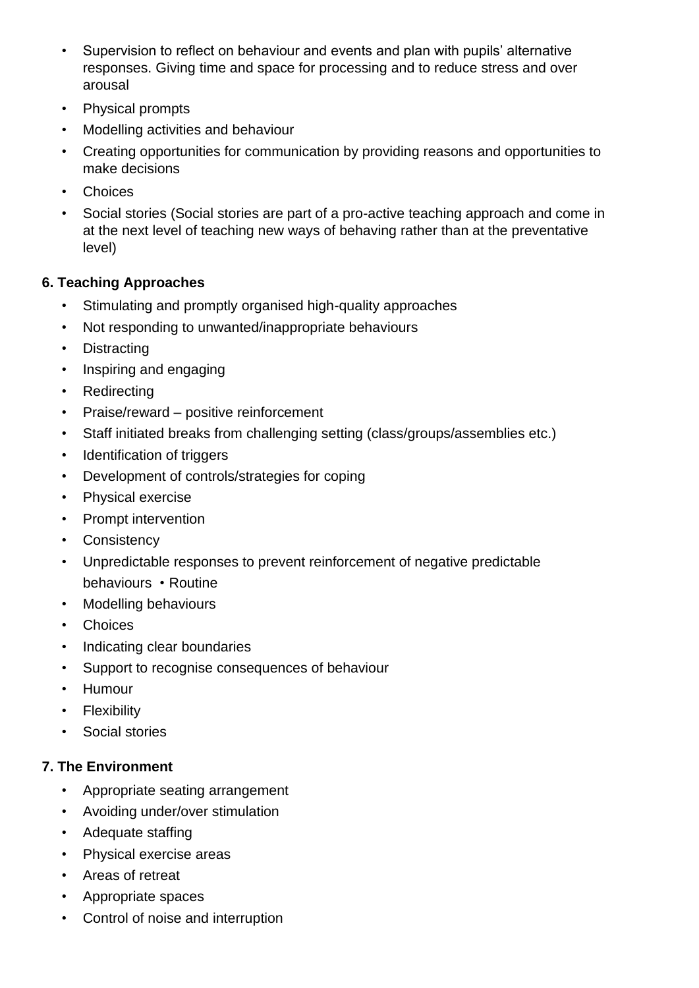- Supervision to reflect on behaviour and events and plan with pupils' alternative responses. Giving time and space for processing and to reduce stress and over arousal
- Physical prompts
- Modelling activities and behaviour
- Creating opportunities for communication by providing reasons and opportunities to make decisions
- **Choices**
- Social stories (Social stories are part of a pro-active teaching approach and come in at the next level of teaching new ways of behaving rather than at the preventative level)

## **6. Teaching Approaches**

- Stimulating and promptly organised high-quality approaches
- Not responding to unwanted/inappropriate behaviours
- Distracting
- Inspiring and engaging
- Redirecting
- Praise/reward positive reinforcement
- Staff initiated breaks from challenging setting (class/groups/assemblies etc.)
- Identification of triggers
- Development of controls/strategies for coping
- Physical exercise
- Prompt intervention
- **Consistency**
- Unpredictable responses to prevent reinforcement of negative predictable behaviours • Routine
- Modelling behaviours
- Choices
- Indicating clear boundaries
- Support to recognise consequences of behaviour
- Humour
- **Flexibility**
- Social stories

## **7. The Environment**

- Appropriate seating arrangement
- Avoiding under/over stimulation
- Adequate staffing
- Physical exercise areas
- Areas of retreat
- Appropriate spaces
- Control of noise and interruption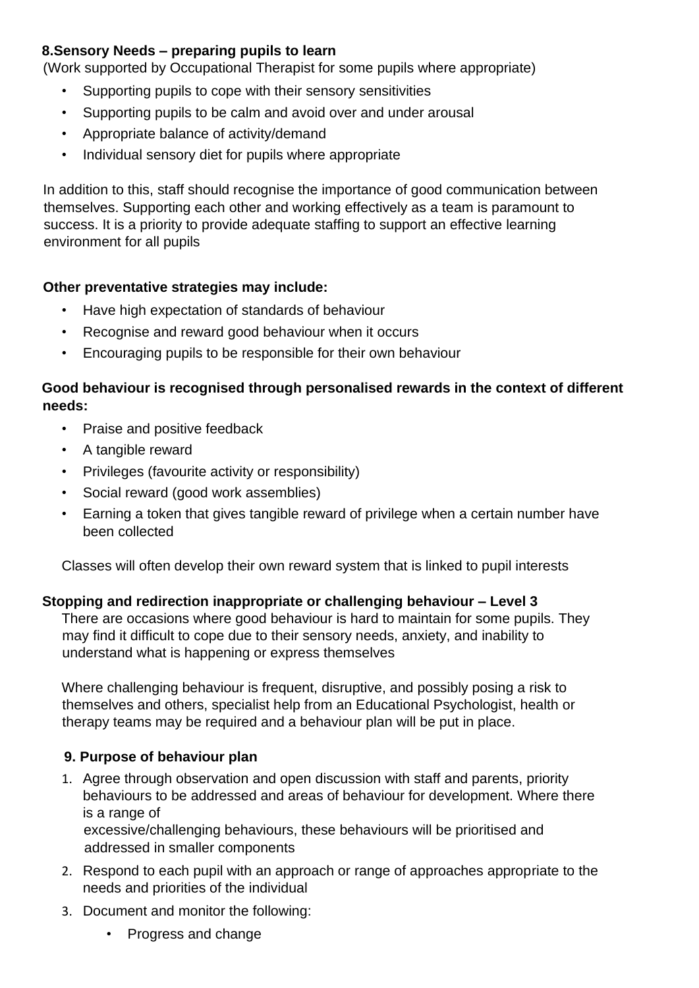## **8.Sensory Needs – preparing pupils to learn**

(Work supported by Occupational Therapist for some pupils where appropriate)

- Supporting pupils to cope with their sensory sensitivities
- Supporting pupils to be calm and avoid over and under arousal
- Appropriate balance of activity/demand
- Individual sensory diet for pupils where appropriate

In addition to this, staff should recognise the importance of good communication between themselves. Supporting each other and working effectively as a team is paramount to success. It is a priority to provide adequate staffing to support an effective learning environment for all pupils

#### **Other preventative strategies may include:**

- Have high expectation of standards of behaviour
- Recognise and reward good behaviour when it occurs
- Encouraging pupils to be responsible for their own behaviour

#### **Good behaviour is recognised through personalised rewards in the context of different needs:**

- Praise and positive feedback
- A tangible reward
- Privileges (favourite activity or responsibility)
- Social reward (good work assemblies)
- Earning a token that gives tangible reward of privilege when a certain number have been collected

Classes will often develop their own reward system that is linked to pupil interests

#### **Stopping and redirection inappropriate or challenging behaviour – Level 3**

There are occasions where good behaviour is hard to maintain for some pupils. They may find it difficult to cope due to their sensory needs, anxiety, and inability to understand what is happening or express themselves

Where challenging behaviour is frequent, disruptive, and possibly posing a risk to themselves and others, specialist help from an Educational Psychologist, health or therapy teams may be required and a behaviour plan will be put in place.

## **9. Purpose of behaviour plan**

1. Agree through observation and open discussion with staff and parents, priority behaviours to be addressed and areas of behaviour for development. Where there is a range of

excessive/challenging behaviours, these behaviours will be prioritised and addressed in smaller components

- 2. Respond to each pupil with an approach or range of approaches appropriate to the needs and priorities of the individual
- 3. Document and monitor the following:
	- Progress and change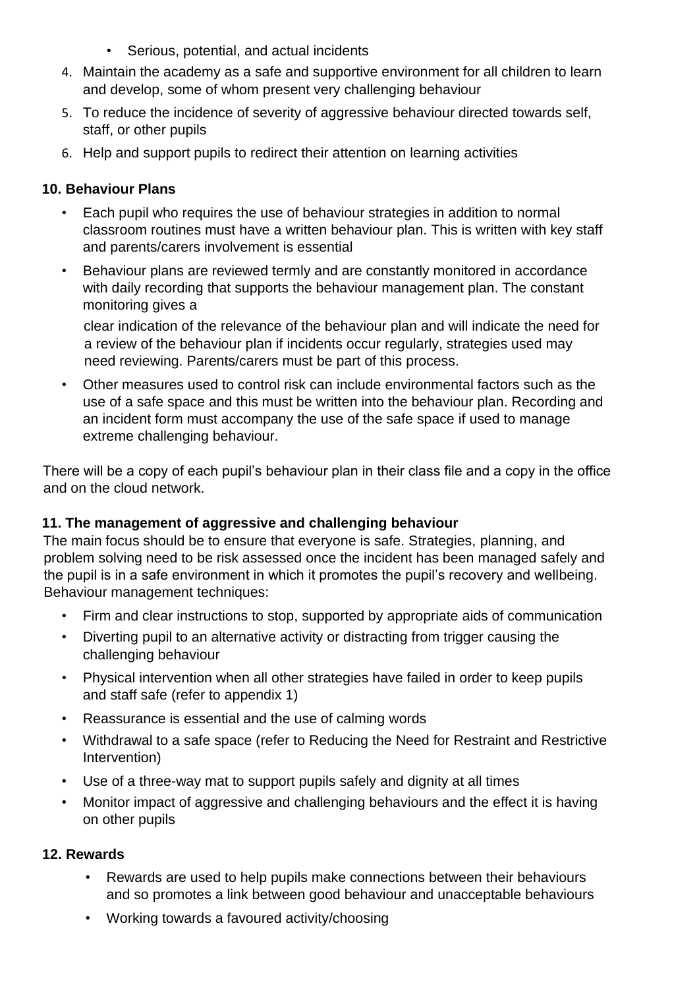- Serious, potential, and actual incidents
- 4. Maintain the academy as a safe and supportive environment for all children to learn and develop, some of whom present very challenging behaviour
- 5. To reduce the incidence of severity of aggressive behaviour directed towards self, staff, or other pupils
- 6. Help and support pupils to redirect their attention on learning activities

# **10. Behaviour Plans**

- Each pupil who requires the use of behaviour strategies in addition to normal classroom routines must have a written behaviour plan. This is written with key staff and parents/carers involvement is essential
- Behaviour plans are reviewed termly and are constantly monitored in accordance with daily recording that supports the behaviour management plan. The constant monitoring gives a

clear indication of the relevance of the behaviour plan and will indicate the need for a review of the behaviour plan if incidents occur regularly, strategies used may need reviewing. Parents/carers must be part of this process.

• Other measures used to control risk can include environmental factors such as the use of a safe space and this must be written into the behaviour plan. Recording and an incident form must accompany the use of the safe space if used to manage extreme challenging behaviour.

There will be a copy of each pupil's behaviour plan in their class file and a copy in the office and on the cloud network.

# **11. The management of aggressive and challenging behaviour**

The main focus should be to ensure that everyone is safe. Strategies, planning, and problem solving need to be risk assessed once the incident has been managed safely and the pupil is in a safe environment in which it promotes the pupil's recovery and wellbeing. Behaviour management techniques:

- Firm and clear instructions to stop, supported by appropriate aids of communication
- Diverting pupil to an alternative activity or distracting from trigger causing the challenging behaviour
- Physical intervention when all other strategies have failed in order to keep pupils and staff safe (refer to appendix 1)
- Reassurance is essential and the use of calming words
- Withdrawal to a safe space (refer to Reducing the Need for Restraint and Restrictive Intervention)
- Use of a three-way mat to support pupils safely and dignity at all times
- Monitor impact of aggressive and challenging behaviours and the effect it is having on other pupils

# **12. Rewards**

- Rewards are used to help pupils make connections between their behaviours and so promotes a link between good behaviour and unacceptable behaviours
- Working towards a favoured activity/choosing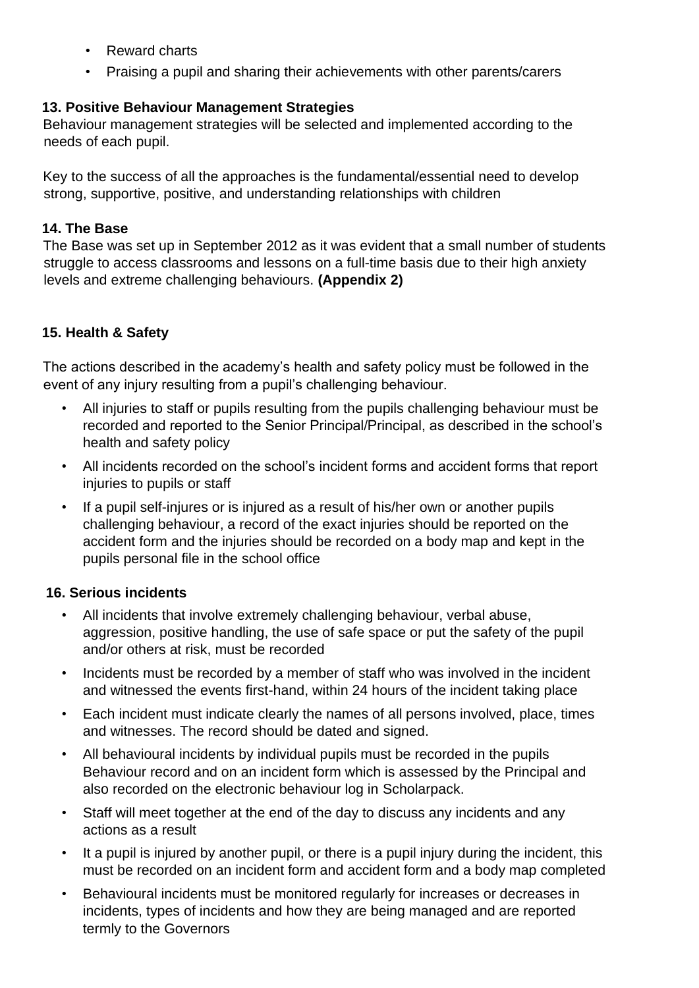- Reward charts
- Praising a pupil and sharing their achievements with other parents/carers

## **13. Positive Behaviour Management Strategies**

Behaviour management strategies will be selected and implemented according to the needs of each pupil.

Key to the success of all the approaches is the fundamental/essential need to develop strong, supportive, positive, and understanding relationships with children

## **14. The Base**

The Base was set up in September 2012 as it was evident that a small number of students struggle to access classrooms and lessons on a full-time basis due to their high anxiety levels and extreme challenging behaviours. **(Appendix 2)**

# **15. Health & Safety**

The actions described in the academy's health and safety policy must be followed in the event of any injury resulting from a pupil's challenging behaviour.

- All injuries to staff or pupils resulting from the pupils challenging behaviour must be recorded and reported to the Senior Principal/Principal, as described in the school's health and safety policy
- All incidents recorded on the school's incident forms and accident forms that report injuries to pupils or staff
- If a pupil self-injures or is injured as a result of his/her own or another pupils challenging behaviour, a record of the exact injuries should be reported on the accident form and the injuries should be recorded on a body map and kept in the pupils personal file in the school office

## **16. Serious incidents**

- All incidents that involve extremely challenging behaviour, verbal abuse, aggression, positive handling, the use of safe space or put the safety of the pupil and/or others at risk, must be recorded
- Incidents must be recorded by a member of staff who was involved in the incident and witnessed the events first-hand, within 24 hours of the incident taking place
- Each incident must indicate clearly the names of all persons involved, place, times and witnesses. The record should be dated and signed.
- All behavioural incidents by individual pupils must be recorded in the pupils Behaviour record and on an incident form which is assessed by the Principal and also recorded on the electronic behaviour log in Scholarpack.
- Staff will meet together at the end of the day to discuss any incidents and any actions as a result
- It a pupil is injured by another pupil, or there is a pupil injury during the incident, this must be recorded on an incident form and accident form and a body map completed
- Behavioural incidents must be monitored regularly for increases or decreases in incidents, types of incidents and how they are being managed and are reported termly to the Governors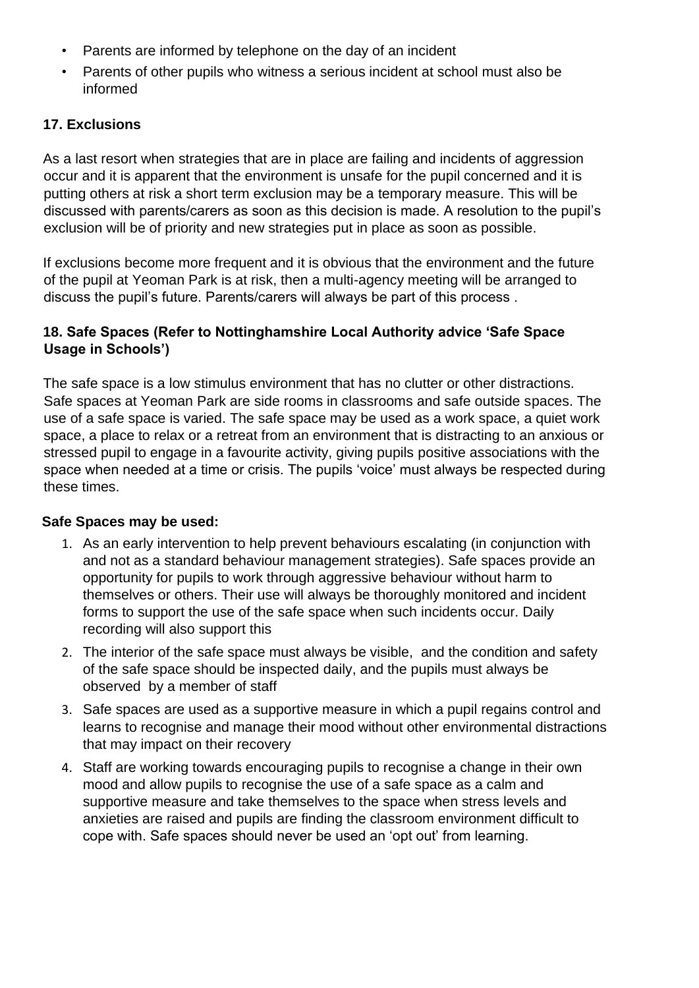- Parents are informed by telephone on the day of an incident
- Parents of other pupils who witness a serious incident at school must also be informed

#### **17. Exclusions**

As a last resort when strategies that are in place are failing and incidents of aggression occur and it is apparent that the environment is unsafe for the pupil concerned and it is putting others at risk a short term exclusion may be a temporary measure. This will be discussed with parents/carers as soon as this decision is made. A resolution to the pupil's exclusion will be of priority and new strategies put in place as soon as possible.

If exclusions become more frequent and it is obvious that the environment and the future of the pupil at Yeoman Park is at risk, then a multi-agency meeting will be arranged to discuss the pupil's future. Parents/carers will always be part of this process .

## **18. Safe Spaces (Refer to Nottinghamshire Local Authority advice 'Safe Space Usage in Schools')**

The safe space is a low stimulus environment that has no clutter or other distractions. Safe spaces at Yeoman Park are side rooms in classrooms and safe outside spaces. The use of a safe space is varied. The safe space may be used as a work space, a quiet work space, a place to relax or a retreat from an environment that is distracting to an anxious or stressed pupil to engage in a favourite activity, giving pupils positive associations with the space when needed at a time or crisis. The pupils 'voice' must always be respected during these times.

#### **Safe Spaces may be used:**

- 1. As an early intervention to help prevent behaviours escalating (in conjunction with and not as a standard behaviour management strategies). Safe spaces provide an opportunity for pupils to work through aggressive behaviour without harm to themselves or others. Their use will always be thoroughly monitored and incident forms to support the use of the safe space when such incidents occur. Daily recording will also support this
- 2. The interior of the safe space must always be visible, and the condition and safety of the safe space should be inspected daily, and the pupils must always be observed by a member of staff
- 3. Safe spaces are used as a supportive measure in which a pupil regains control and learns to recognise and manage their mood without other environmental distractions that may impact on their recovery
- 4. Staff are working towards encouraging pupils to recognise a change in their own mood and allow pupils to recognise the use of a safe space as a calm and supportive measure and take themselves to the space when stress levels and anxieties are raised and pupils are finding the classroom environment difficult to cope with. Safe spaces should never be used an 'opt out' from learning.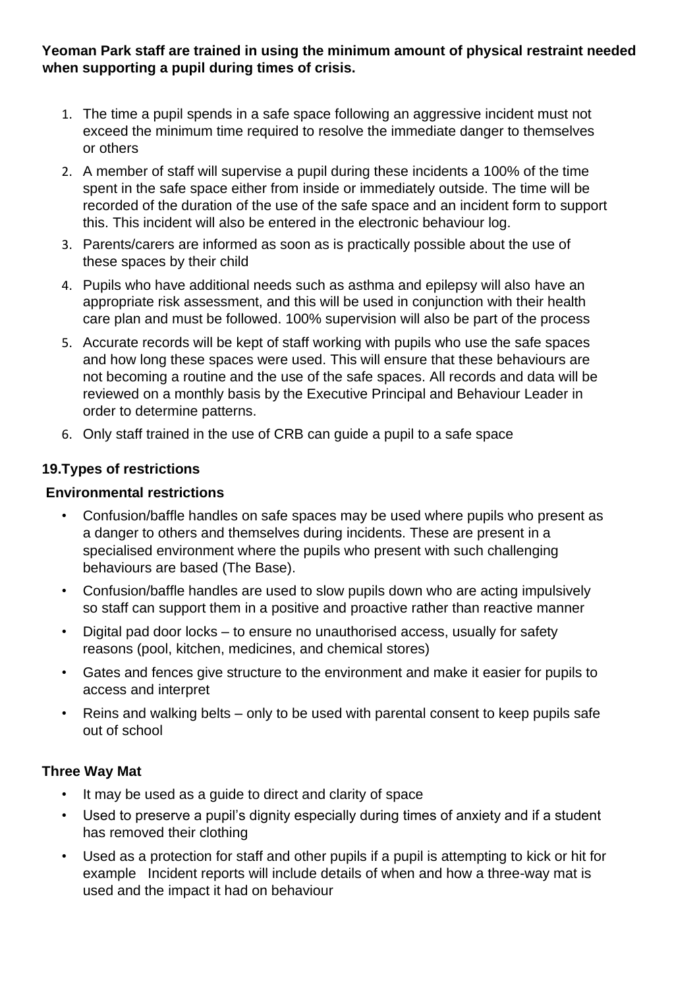**Yeoman Park staff are trained in using the minimum amount of physical restraint needed when supporting a pupil during times of crisis.**

- 1. The time a pupil spends in a safe space following an aggressive incident must not exceed the minimum time required to resolve the immediate danger to themselves or others
- 2. A member of staff will supervise a pupil during these incidents a 100% of the time spent in the safe space either from inside or immediately outside. The time will be recorded of the duration of the use of the safe space and an incident form to support this. This incident will also be entered in the electronic behaviour log.
- 3. Parents/carers are informed as soon as is practically possible about the use of these spaces by their child
- 4. Pupils who have additional needs such as asthma and epilepsy will also have an appropriate risk assessment, and this will be used in conjunction with their health care plan and must be followed. 100% supervision will also be part of the process
- 5. Accurate records will be kept of staff working with pupils who use the safe spaces and how long these spaces were used. This will ensure that these behaviours are not becoming a routine and the use of the safe spaces. All records and data will be reviewed on a monthly basis by the Executive Principal and Behaviour Leader in order to determine patterns.
- 6. Only staff trained in the use of CRB can guide a pupil to a safe space

## **19.Types of restrictions**

#### **Environmental restrictions**

- Confusion/baffle handles on safe spaces may be used where pupils who present as a danger to others and themselves during incidents. These are present in a specialised environment where the pupils who present with such challenging behaviours are based (The Base).
- Confusion/baffle handles are used to slow pupils down who are acting impulsively so staff can support them in a positive and proactive rather than reactive manner
- Digital pad door locks to ensure no unauthorised access, usually for safety reasons (pool, kitchen, medicines, and chemical stores)
- Gates and fences give structure to the environment and make it easier for pupils to access and interpret
- Reins and walking belts only to be used with parental consent to keep pupils safe out of school

## **Three Way Mat**

- It may be used as a quide to direct and clarity of space
- Used to preserve a pupil's dignity especially during times of anxiety and if a student has removed their clothing
- Used as a protection for staff and other pupils if a pupil is attempting to kick or hit for example Incident reports will include details of when and how a three-way mat is used and the impact it had on behaviour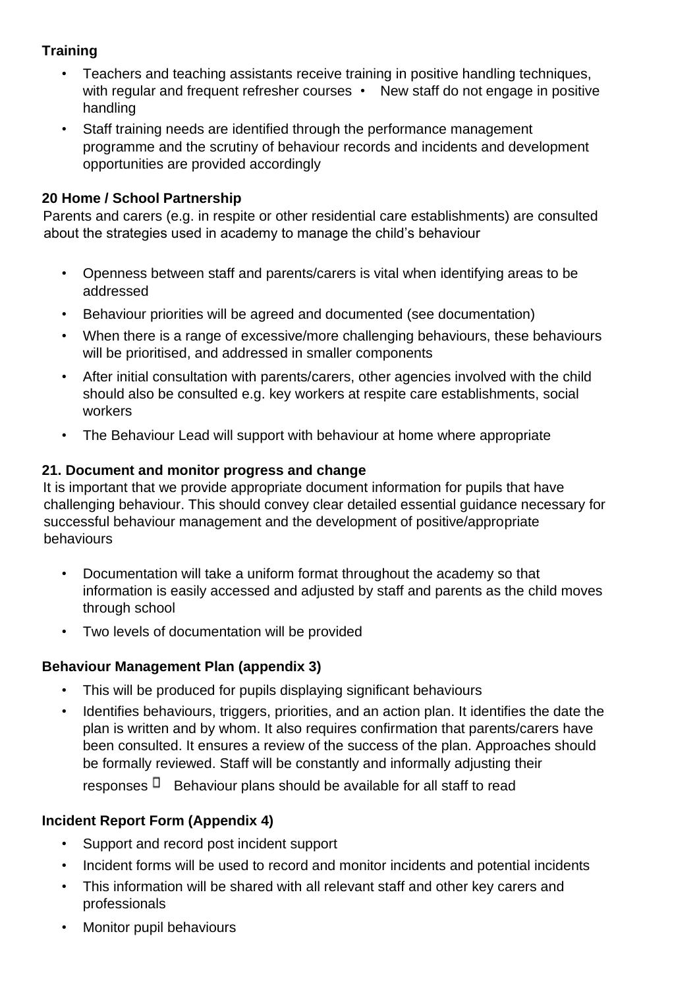# **Training**

- Teachers and teaching assistants receive training in positive handling techniques, with regular and frequent refresher courses • New staff do not engage in positive handling
- Staff training needs are identified through the performance management programme and the scrutiny of behaviour records and incidents and development opportunities are provided accordingly

## **20 Home / School Partnership**

Parents and carers (e.g. in respite or other residential care establishments) are consulted about the strategies used in academy to manage the child's behaviour

- Openness between staff and parents/carers is vital when identifying areas to be addressed
- Behaviour priorities will be agreed and documented (see documentation)
- When there is a range of excessive/more challenging behaviours, these behaviours will be prioritised, and addressed in smaller components
- After initial consultation with parents/carers, other agencies involved with the child should also be consulted e.g. key workers at respite care establishments, social workers
- The Behaviour Lead will support with behaviour at home where appropriate

## **21. Document and monitor progress and change**

It is important that we provide appropriate document information for pupils that have challenging behaviour. This should convey clear detailed essential guidance necessary for successful behaviour management and the development of positive/appropriate behaviours

- Documentation will take a uniform format throughout the academy so that information is easily accessed and adjusted by staff and parents as the child moves through school
- Two levels of documentation will be provided

#### **Behaviour Management Plan (appendix 3)**

- This will be produced for pupils displaying significant behaviours
- Identifies behaviours, triggers, priorities, and an action plan. It identifies the date the plan is written and by whom. It also requires confirmation that parents/carers have been consulted. It ensures a review of the success of the plan. Approaches should be formally reviewed. Staff will be constantly and informally adjusting their

responses  $\Box$  Behaviour plans should be available for all staff to read

## **Incident Report Form (Appendix 4)**

- Support and record post incident support
- Incident forms will be used to record and monitor incidents and potential incidents
- This information will be shared with all relevant staff and other key carers and professionals
- Monitor pupil behaviours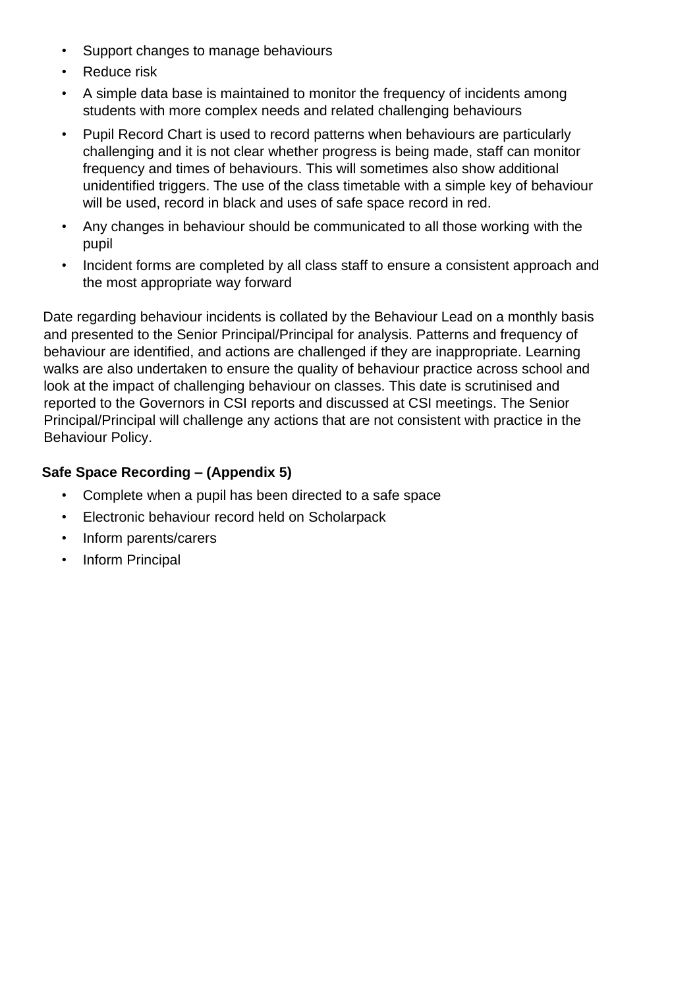- Support changes to manage behaviours
- **Reduce risk**
- A simple data base is maintained to monitor the frequency of incidents among students with more complex needs and related challenging behaviours
- Pupil Record Chart is used to record patterns when behaviours are particularly challenging and it is not clear whether progress is being made, staff can monitor frequency and times of behaviours. This will sometimes also show additional unidentified triggers. The use of the class timetable with a simple key of behaviour will be used, record in black and uses of safe space record in red.
- Any changes in behaviour should be communicated to all those working with the pupil
- Incident forms are completed by all class staff to ensure a consistent approach and the most appropriate way forward

Date regarding behaviour incidents is collated by the Behaviour Lead on a monthly basis and presented to the Senior Principal/Principal for analysis. Patterns and frequency of behaviour are identified, and actions are challenged if they are inappropriate. Learning walks are also undertaken to ensure the quality of behaviour practice across school and look at the impact of challenging behaviour on classes. This date is scrutinised and reported to the Governors in CSI reports and discussed at CSI meetings. The Senior Principal/Principal will challenge any actions that are not consistent with practice in the Behaviour Policy.

## **Safe Space Recording – (Appendix 5)**

- Complete when a pupil has been directed to a safe space
- Electronic behaviour record held on Scholarpack
- Inform parents/carers
- Inform Principal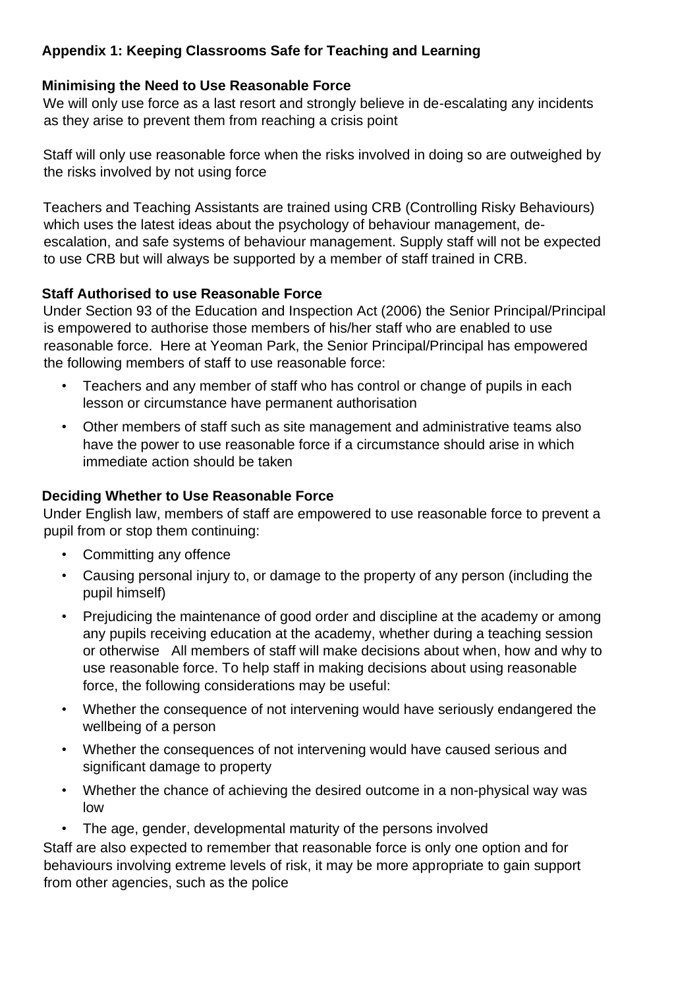# **Appendix 1: Keeping Classrooms Safe for Teaching and Learning**

## **Minimising the Need to Use Reasonable Force**

We will only use force as a last resort and strongly believe in de-escalating any incidents as they arise to prevent them from reaching a crisis point

Staff will only use reasonable force when the risks involved in doing so are outweighed by the risks involved by not using force

Teachers and Teaching Assistants are trained using CRB (Controlling Risky Behaviours) which uses the latest ideas about the psychology of behaviour management, deescalation, and safe systems of behaviour management. Supply staff will not be expected to use CRB but will always be supported by a member of staff trained in CRB.

## **Staff Authorised to use Reasonable Force**

Under Section 93 of the Education and Inspection Act (2006) the Senior Principal/Principal is empowered to authorise those members of his/her staff who are enabled to use reasonable force. Here at Yeoman Park, the Senior Principal/Principal has empowered the following members of staff to use reasonable force:

- Teachers and any member of staff who has control or change of pupils in each lesson or circumstance have permanent authorisation
- Other members of staff such as site management and administrative teams also have the power to use reasonable force if a circumstance should arise in which immediate action should be taken

## **Deciding Whether to Use Reasonable Force**

Under English law, members of staff are empowered to use reasonable force to prevent a pupil from or stop them continuing:

- Committing any offence
- Causing personal injury to, or damage to the property of any person (including the pupil himself)
- Prejudicing the maintenance of good order and discipline at the academy or among any pupils receiving education at the academy, whether during a teaching session or otherwise All members of staff will make decisions about when, how and why to use reasonable force. To help staff in making decisions about using reasonable force, the following considerations may be useful:
- Whether the consequence of not intervening would have seriously endangered the wellbeing of a person
- Whether the consequences of not intervening would have caused serious and significant damage to property
- Whether the chance of achieving the desired outcome in a non-physical way was low
- The age, gender, developmental maturity of the persons involved

Staff are also expected to remember that reasonable force is only one option and for behaviours involving extreme levels of risk, it may be more appropriate to gain support from other agencies, such as the police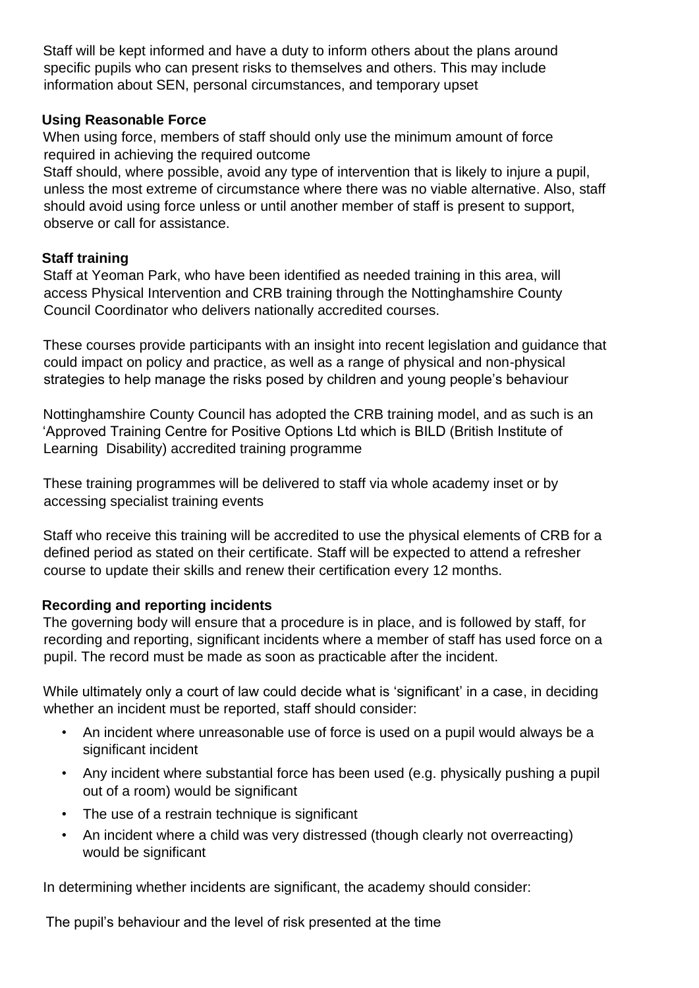Staff will be kept informed and have a duty to inform others about the plans around specific pupils who can present risks to themselves and others. This may include information about SEN, personal circumstances, and temporary upset

## **Using Reasonable Force**

When using force, members of staff should only use the minimum amount of force required in achieving the required outcome

Staff should, where possible, avoid any type of intervention that is likely to injure a pupil, unless the most extreme of circumstance where there was no viable alternative. Also, staff should avoid using force unless or until another member of staff is present to support, observe or call for assistance.

## **Staff training**

Staff at Yeoman Park, who have been identified as needed training in this area, will access Physical Intervention and CRB training through the Nottinghamshire County Council Coordinator who delivers nationally accredited courses.

These courses provide participants with an insight into recent legislation and guidance that could impact on policy and practice, as well as a range of physical and non-physical strategies to help manage the risks posed by children and young people's behaviour

Nottinghamshire County Council has adopted the CRB training model, and as such is an 'Approved Training Centre for Positive Options Ltd which is BILD (British Institute of Learning Disability) accredited training programme

These training programmes will be delivered to staff via whole academy inset or by accessing specialist training events

Staff who receive this training will be accredited to use the physical elements of CRB for a defined period as stated on their certificate. Staff will be expected to attend a refresher course to update their skills and renew their certification every 12 months.

## **Recording and reporting incidents**

The governing body will ensure that a procedure is in place, and is followed by staff, for recording and reporting, significant incidents where a member of staff has used force on a pupil. The record must be made as soon as practicable after the incident.

While ultimately only a court of law could decide what is 'significant' in a case, in deciding whether an incident must be reported, staff should consider:

- An incident where unreasonable use of force is used on a pupil would always be a significant incident
- Any incident where substantial force has been used (e.g. physically pushing a pupil out of a room) would be significant
- The use of a restrain technique is significant
- An incident where a child was very distressed (though clearly not overreacting) would be significant

In determining whether incidents are significant, the academy should consider:

The pupil's behaviour and the level of risk presented at the time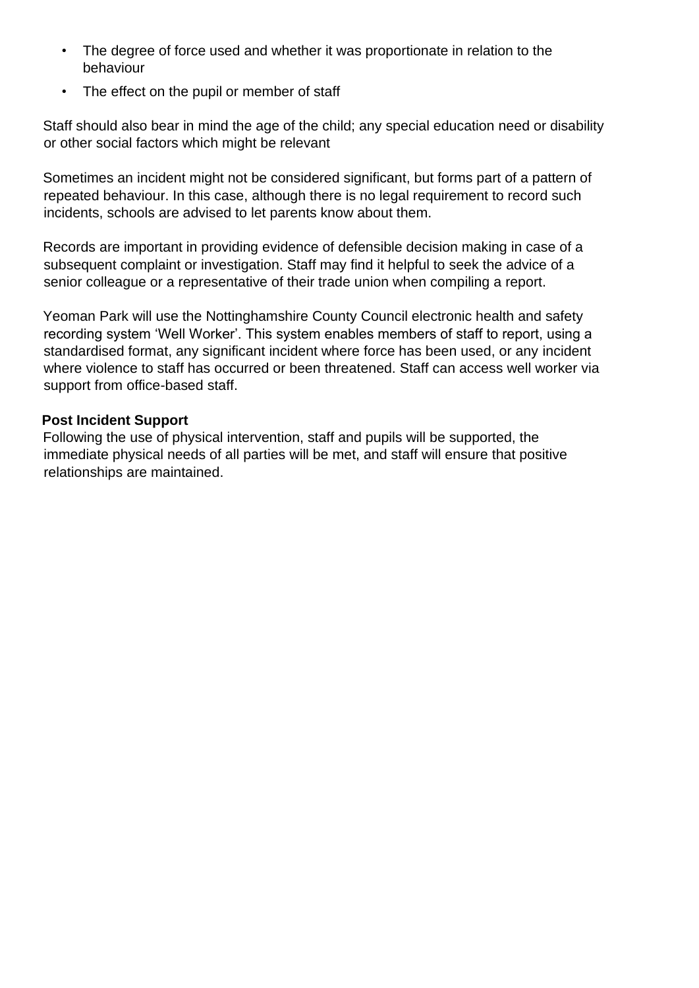- The degree of force used and whether it was proportionate in relation to the behaviour
- The effect on the pupil or member of staff

Staff should also bear in mind the age of the child; any special education need or disability or other social factors which might be relevant

Sometimes an incident might not be considered significant, but forms part of a pattern of repeated behaviour. In this case, although there is no legal requirement to record such incidents, schools are advised to let parents know about them.

Records are important in providing evidence of defensible decision making in case of a subsequent complaint or investigation. Staff may find it helpful to seek the advice of a senior colleague or a representative of their trade union when compiling a report.

Yeoman Park will use the Nottinghamshire County Council electronic health and safety recording system 'Well Worker'. This system enables members of staff to report, using a standardised format, any significant incident where force has been used, or any incident where violence to staff has occurred or been threatened. Staff can access well worker via support from office-based staff.

## **Post Incident Support**

Following the use of physical intervention, staff and pupils will be supported, the immediate physical needs of all parties will be met, and staff will ensure that positive relationships are maintained.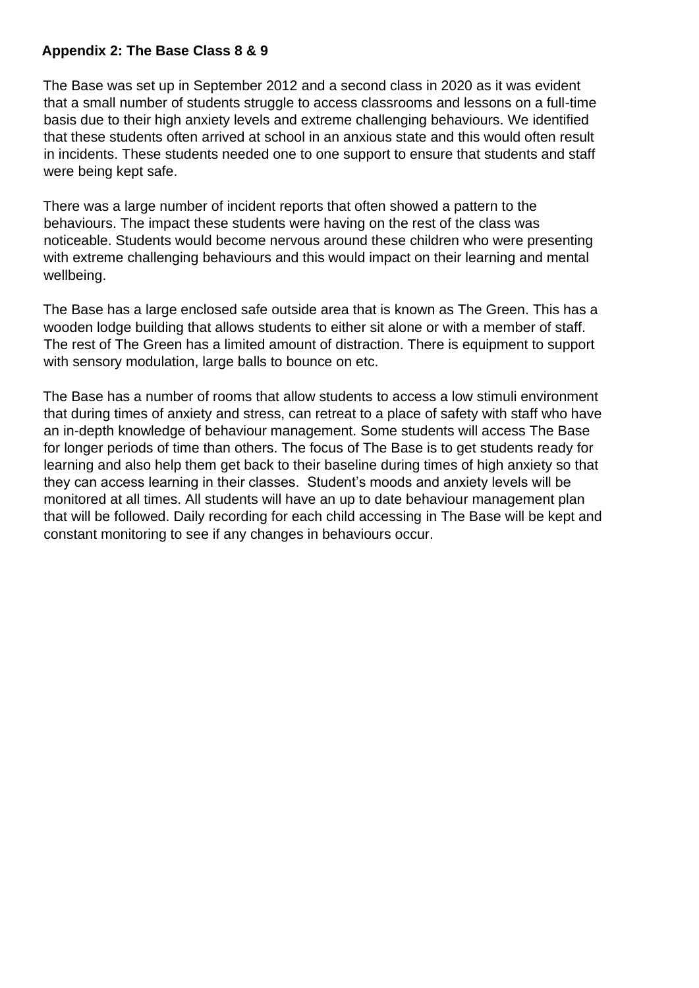#### **Appendix 2: The Base Class 8 & 9**

The Base was set up in September 2012 and a second class in 2020 as it was evident that a small number of students struggle to access classrooms and lessons on a full-time basis due to their high anxiety levels and extreme challenging behaviours. We identified that these students often arrived at school in an anxious state and this would often result in incidents. These students needed one to one support to ensure that students and staff were being kept safe.

There was a large number of incident reports that often showed a pattern to the behaviours. The impact these students were having on the rest of the class was noticeable. Students would become nervous around these children who were presenting with extreme challenging behaviours and this would impact on their learning and mental wellbeing.

The Base has a large enclosed safe outside area that is known as The Green. This has a wooden lodge building that allows students to either sit alone or with a member of staff. The rest of The Green has a limited amount of distraction. There is equipment to support with sensory modulation, large balls to bounce on etc.

The Base has a number of rooms that allow students to access a low stimuli environment that during times of anxiety and stress, can retreat to a place of safety with staff who have an in-depth knowledge of behaviour management. Some students will access The Base for longer periods of time than others. The focus of The Base is to get students ready for learning and also help them get back to their baseline during times of high anxiety so that they can access learning in their classes. Student's moods and anxiety levels will be monitored at all times. All students will have an up to date behaviour management plan that will be followed. Daily recording for each child accessing in The Base will be kept and constant monitoring to see if any changes in behaviours occur.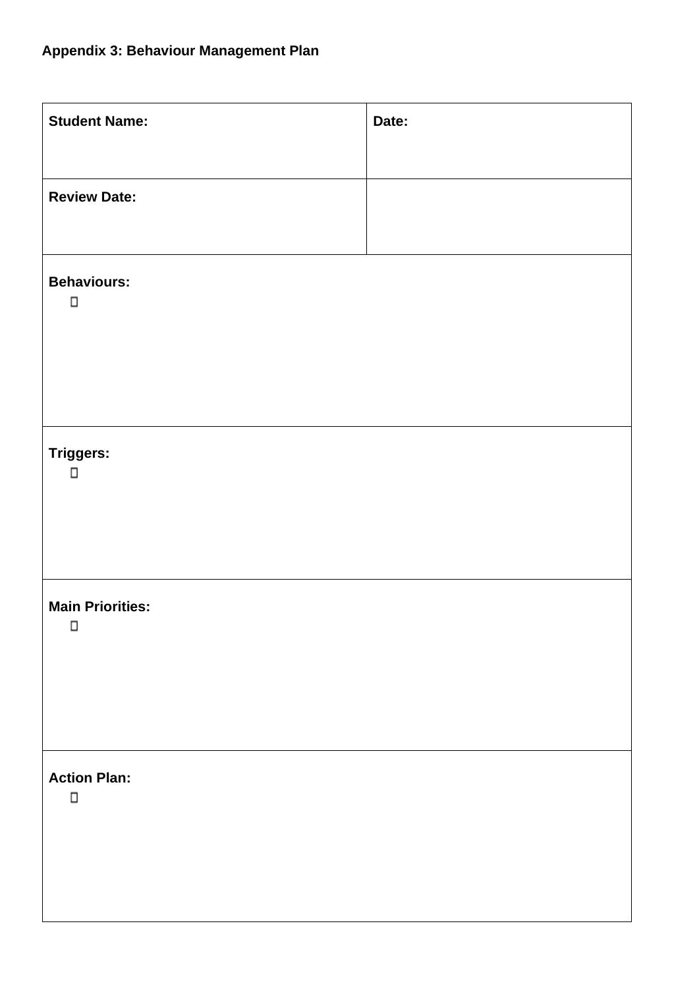| <b>Student Name:</b>              | Date: |
|-----------------------------------|-------|
|                                   |       |
| <b>Review Date:</b>               |       |
|                                   |       |
| <b>Behaviours:</b>                |       |
| $\Box$                            |       |
|                                   |       |
|                                   |       |
|                                   |       |
| Triggers:<br>$\Box$               |       |
|                                   |       |
|                                   |       |
|                                   |       |
| <b>Main Priorities:</b><br>$\Box$ |       |
|                                   |       |
|                                   |       |
|                                   |       |
| <b>Action Plan:</b>               |       |
| $\Box$                            |       |
|                                   |       |
|                                   |       |
|                                   |       |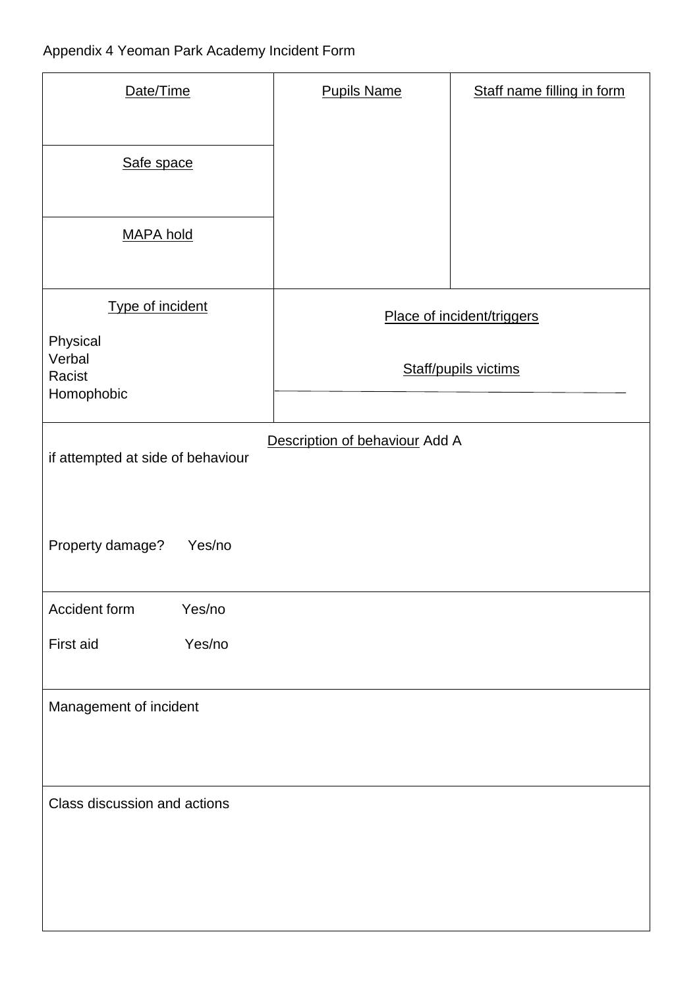| Date/Time                                                           | <b>Pupils Name</b>         | Staff name filling in form |  |  |  |
|---------------------------------------------------------------------|----------------------------|----------------------------|--|--|--|
| Safe space                                                          |                            |                            |  |  |  |
| <b>MAPA hold</b>                                                    |                            |                            |  |  |  |
| Type of incident                                                    | Place of incident/triggers |                            |  |  |  |
| Physical<br>Verbal<br>Racist<br>Homophobic                          | Staff/pupils victims       |                            |  |  |  |
| Description of behaviour Add A<br>if attempted at side of behaviour |                            |                            |  |  |  |
| Property damage?<br>Yes/no                                          |                            |                            |  |  |  |
| Accident form<br>Yes/no                                             |                            |                            |  |  |  |
| Yes/no<br>First aid                                                 |                            |                            |  |  |  |
| Management of incident                                              |                            |                            |  |  |  |
| Class discussion and actions                                        |                            |                            |  |  |  |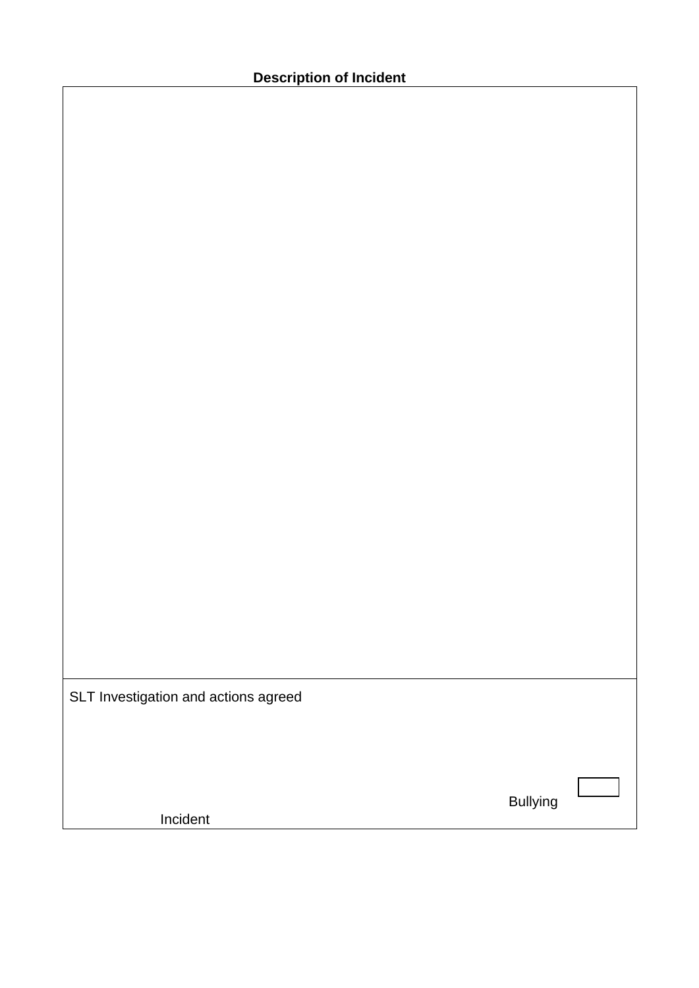Bullying

Incident